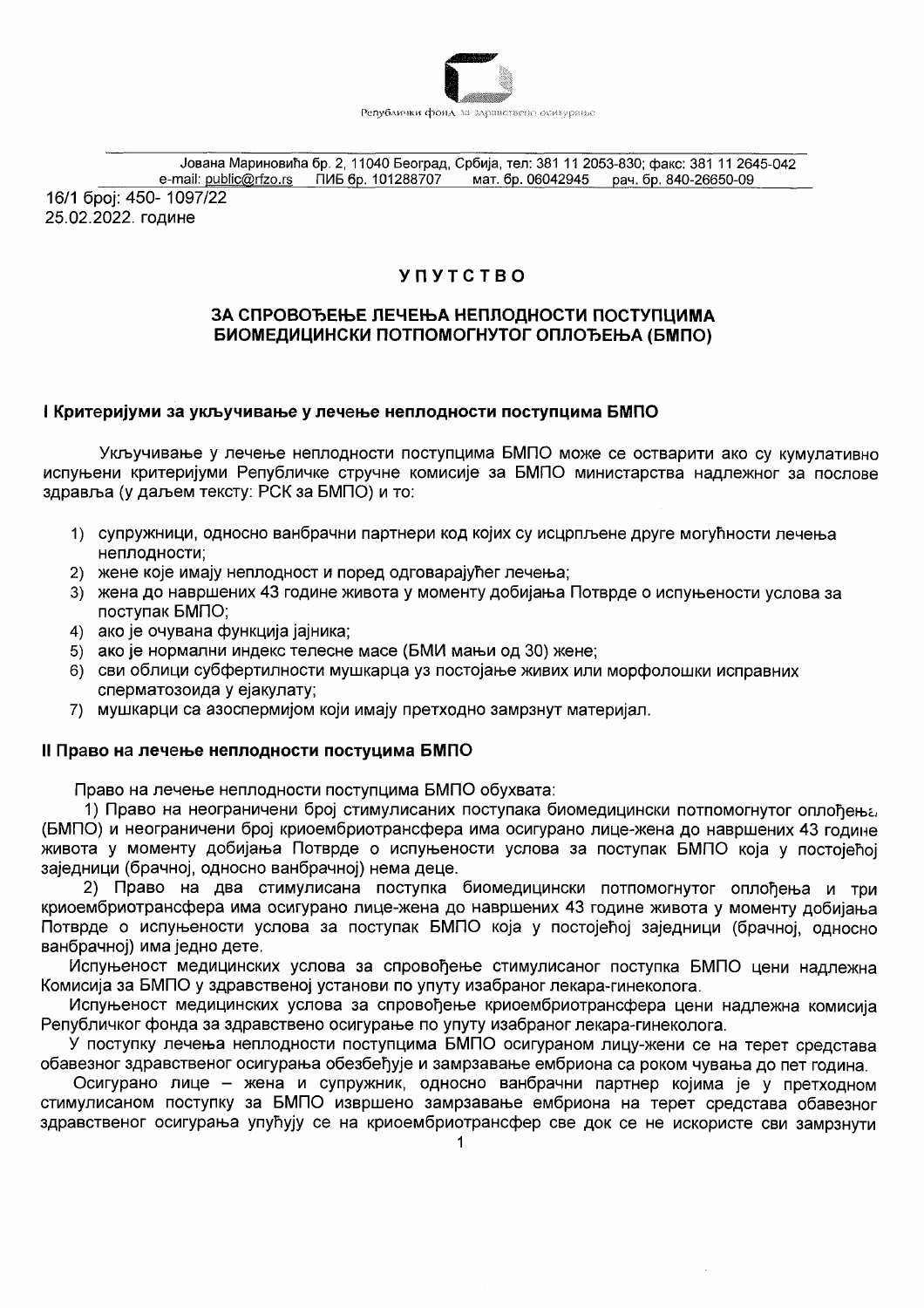

Јована Мариновића бр. 2, 11040 Београд, Србија, тел: 381 11 2053-830; факс: 381 11 2645-042 

16/1 број: 450-1097/22 25.02.2022. године

# **YUVICIBO**

## ЗА СПРОВОЂЕЊЕ ЛЕЧЕЊА НЕПЛОДНОСТИ ПОСТУПЦИМА БИОМЕДИЦИНСКИ ПОТПОМОГНУТОГ ОПЛОЂЕЊА (БМПО)

## I Критеријуми за укључивање у лечење неплодности поступцима БМПО

Укључивање у лечење неплодности поступцима БМПО може се остварити ако су кумулативно испуњени критеријуми Републичке стручне комисије за БМПО министарства надлежног за послове здравља (у даљем тексту: РСК за БМПО) и то:

- 1) супружници, односно ванбрачни партнери код којих су исцрпљене друге могућности лечења неплодности;
- 2) жене које имају неплодност и поред одговарајућег лечења;
- 3) жена до навршених 43 године живота у моменту добијања Потврде о испуњености услова за поступак БМПО:
- 4) ако је очувана функција јајника;
- 5) ако је нормални индекс телесне масе (БМИ мањи од 30) жене;
- 6) сви облици субфертилности мушкарца уз постојање живих или морфолошки исправних сперматозоида у ејакулату;
- 7) мушкарци са азоспермијом који имају претходно замрзнут материјал.

## II Право на лечење неплодности постуцима БМПО

Право на лечење неплодности поступцима БМПО обухвата:

1) Право на неограничени број стимулисаних поступака биомедицински потпомогнутог оплођења (БМПО) и неограничени број криоембриотрансфера има осигурано лице-жена до навршених 43 године живота у моменту добијања Потврде о испуњености услова за поступак БМПО која у постојећој заједници (брачној, односно ванбрачној) нема деце.

2) Право на два стимулисана поступка биомедицински потпомогнутог оплођења и три криоембриотрансфера има осигурано лице-жена до навршених 43 године живота у моменту добијања Потврде о испуњености услова за поступак БМПО која у постојећој заједници (брачној, односно ванбрачној) има једно дете.

Испуњеност медицинских услова за спровођење стимулисаног поступка БМПО цени надлежна Комисија за БМПО у здравственој установи по упуту изабраног лекара-гинеколога.

Испуњеност медицинских услова за спровођење криоембриотрансфера цени надлежна комисија Републичког фонда за здравствено осигурање по упуту изабраног лекара-гинеколога.

У поступку лечења неплодности поступцима БМПО осигураном лицу-жени се на терет средстава обавезног здравственог осигурања обезбеђује и замрзавање ембриона са роком чувања до пет година.

Осигурано лице - жена и супружник, односно ванбрачни партнер којима је у претходном стимулисаном поступку за БМПО извршено замрзавање ембриона на терет средстава обавезног здравственог осигурања упућују се на криоембриотрансфер све док се не искористе сви замрзнути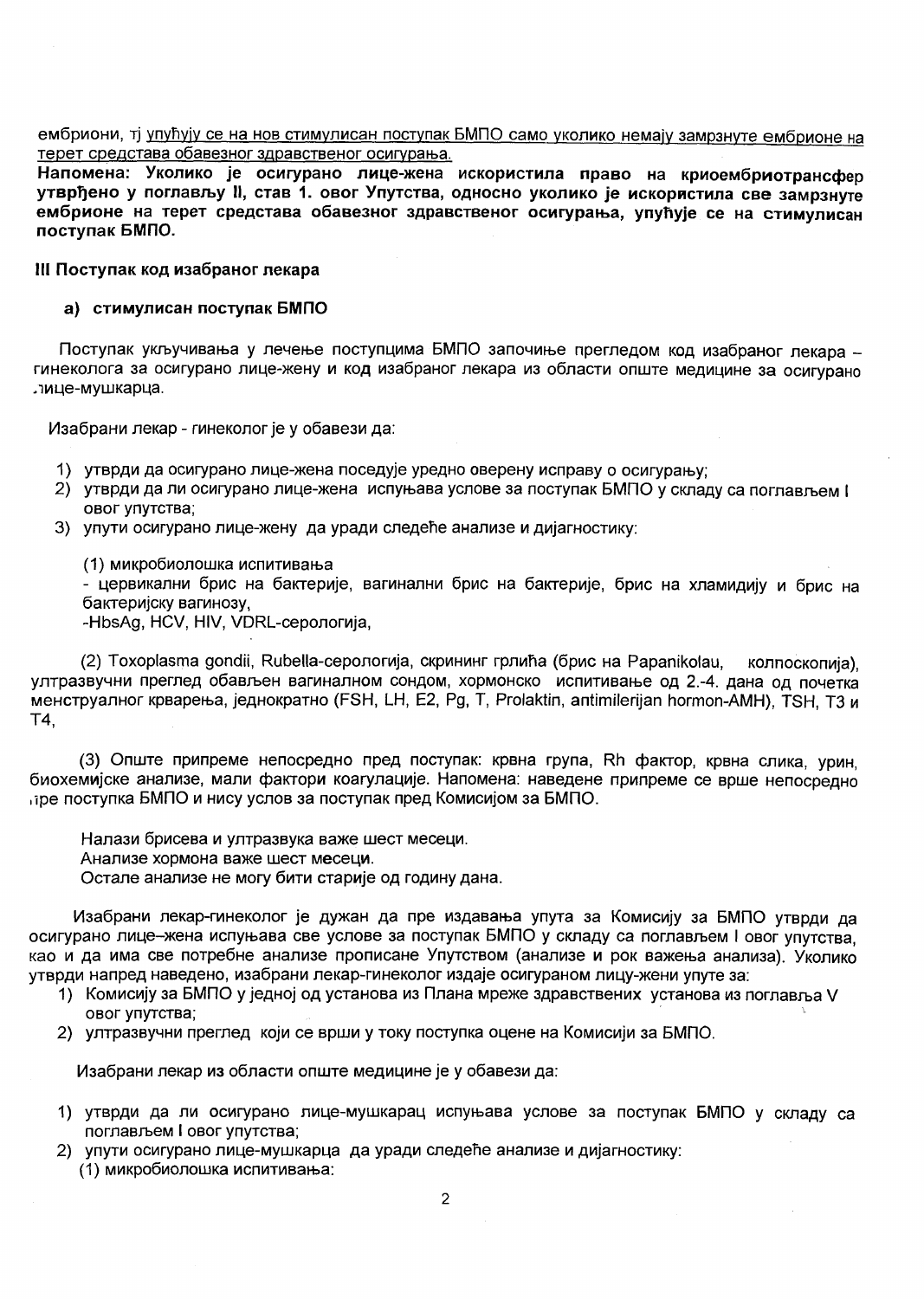## ембриони, ті упућују се на нов стимулисан поступак БМПО само уколико немају замрзнуте ембрионе на терет средстава обавезног здравственог осигурања.

Напомена: Уколико је осигурано лице-жена искористила право на криоембриотрансфер утврђено у поглављу II, став 1. овог Упутства, односно уколико је искористила све замрзнуте ембрионе на терет средстава обавезног здравственог осигурања, упућује се на стимулисан поступак БМПО.

#### III Поступак код изабраног лекара

#### а) стимулисан поступак БМПО

Поступак укључивања у лечење поступцима БМПО започиње прегледом код изабраног лекара гинеколога за осигурано лице-жену и код изабраног лекара из области опште медицине за осигурано лице-мушкарца.

Изабрани лекар - гинеколог је у обавези да:

- 1) утврди да осигурано лице-жена поседује уредно оверену исправу о осигурању;
- 2) утврди да ли осигурано лице-жена испуњава услове за поступак БМПО у складу са поглављем I овог упутства;
- 3) упути осигурано лице-жену да уради следеће анализе и дијагностику:

(1) микробиолошка испитивања

- цервикални брис на бактерије, вагинални брис на бактерије, брис на хламидију и брис на бактеријску вагинозу.

-HbsAg, HCV, HIV, VDRL-серологија,

(2) Toxoplasma gondii, Rubella-серологија, скрининг грлића (брис на Papanikolau, колпоскопија). ултразвучни преглед обављен вагиналном сондом, хормонско испитивање од 2.-4. дана од почетка менструалног крварења, једнократно (FSH, LH, E2, Pg, T, Prolaktin, antimilerijan hormon-AMH), TSH, Т3 и T4.

(3) Опште припреме непосредно пред поступак: крвна група, Rh фактор, крвна слика, урин, биохемијске анализе, мали фактори коагулације. Напомена: наведене припреме се врше непосредно пре поступка БМПО и нису услов за поступак пред Комисијом за БМПО.

Налази брисева и ултразвука важе шест месеци. Анализе хормона важе шест месеци. Остале анализе не могу бити старије од годину дана.

Изабрани лекар-гинеколог је дужан да пре издавања упута за Комисију за БМПО утврди да осигурано лице-жена испуњава све услове за поступак БМПО у складу са поглављем I овог упутства. као и да има све потребне анализе прописане Упутством (анализе и рок важења анализа). Уколико утврди напред наведено, изабрани лекар-гинеколог издаје осигураном лицу-жени упуте за:

- 1) Комисију за БМПО у једној од установа из Плана мреже здравствених установа из поглавља V овог упутства:
- 2) ултразвучни преглед који се врши у току поступка оцене на Комисији за БМПО.

Изабрани лекар из области опште медицине је у обавези да:

- 1) утврди да ли осигурано лице-мушкарац испуњава услове за поступак БМПО у складу са поглављем I овог упутства:
- 2) упути осигурано лице-мушкарца да уради следеће анализе и дијагностику: (1) микробиолошка испитивања: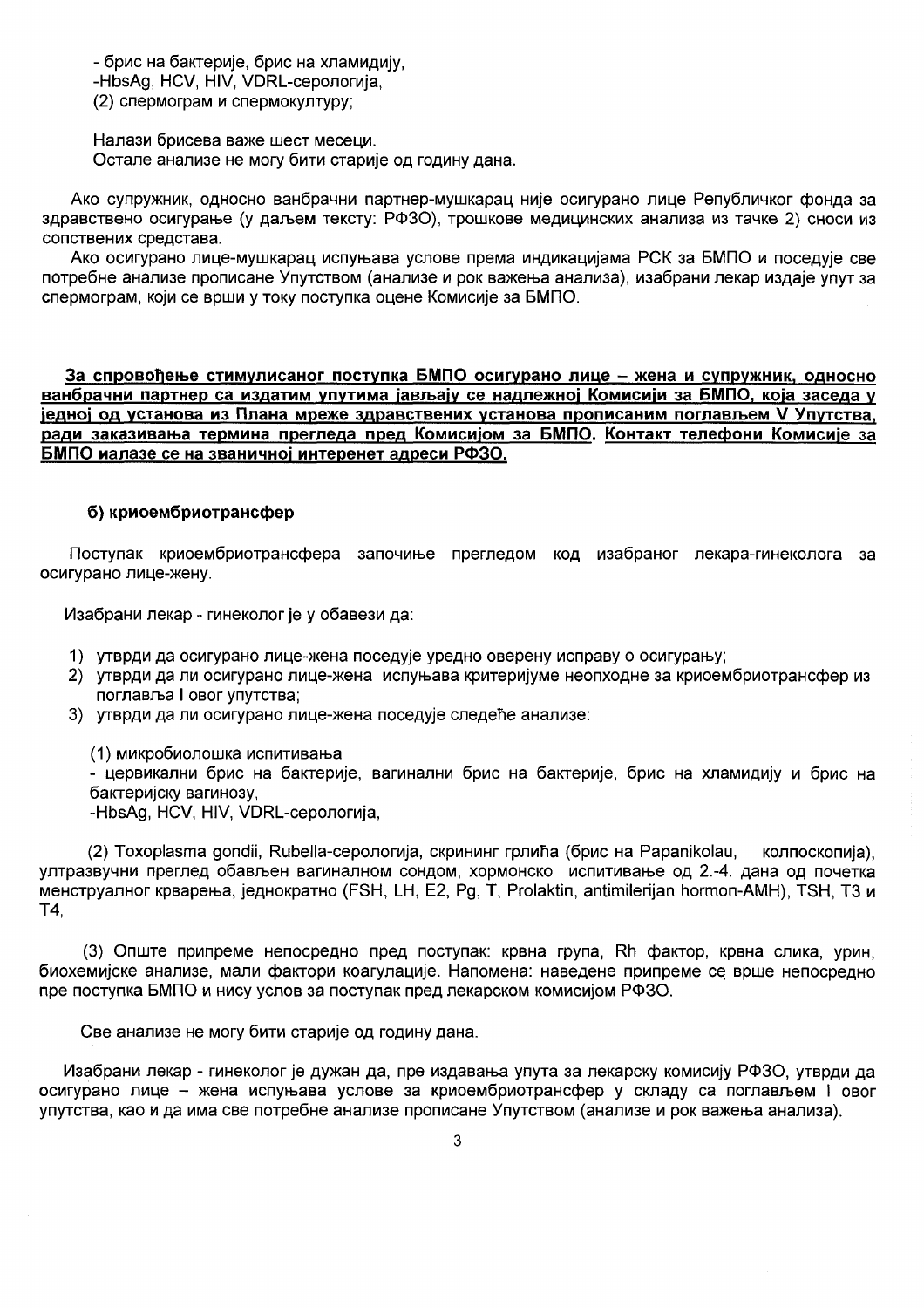- брис на бактерије, брис на хламидију, -HbsAg, HCV, HIV, VDRL-серологија, (2) спермограм и спермокултуру;

Налази брисева важе шест месеци. Остале анализе не могу бити старије од годину дана.

Ако супружник, односно ванбрачни партнер-мушкарац није осигурано лице Републичког фонда за здравствено осигурање (у даљем тексту: РФЗО), трошкове медицинских анализа из тачке 2) сноси из сопствених средстава.

Ако осигурано лице-мушкарац испуњава услове према индикацијама РСК за БМПО и поседује све потребне анализе прописане Упутством (анализе и рок важења анализа), изабрани лекар издаје упут за спермограм, који се врши у току поступка оцене Комисије за БМПО.

За спровођење стимулисаног поступка БМПО осигурано лице - жена и супружник, односно ванбрачни партнер са издатим упутима јављају се надлежној Комисији за БМПО, која заседа у једној од установа из Плана мреже здравствених установа прописаним поглављем V Упутства, ради заказивања термина прегледа пред Комисијом за БМПО. Контакт телефони Комисије за БМПО иалазе се на званичној интеренет адреси РФЗО.

## б) криоембриотрансфер

Поступак криоембриотрансфера започиње прегледом код изабраног лекара-гинеколога за осигурано лице-жену.

Изабрани лекар - гинеколог је у обавези да:

- 1) утврди да осигурано лице-жена поседује уредно оверену исправу о осигурању;
- 2) утврди да ли осигурано лице-жена испуњава критеријуме неопходне за криоембриотрансфер из поглавља I овог упутства;
- 3) утврди да ли осигурано лице-жена поседује следеће анализе:

(1) микробиолошка испитивања

- цервикални брис на бактерије, вагинални брис на бактерије, брис на хламидију и брис на бактеријску вагинозу,

-HbsAg, HCV, HIV, VDRL-серологија,

(2) Toxoplasma gondii, Rubella-серологија, скрининг грлића (брис на Papanikolau, колпоскопија). ултразвучни преглед обављен вагиналном сондом, хормонско испитивање од 2.-4. дана од почетка менструалног крварења, једнократно (FSH, LH, E2, Pg, T, Prolaktin, antimilerijan hormon-AMH), TSH, Т3 и T4,

(3) Опште припреме непосредно пред поступак: крвна група, Rh фактор, крвна слика, урин, биохемијске анализе, мали фактори коагулације. Напомена: наведене припреме се врше непосредно пре поступка БМПО и нису услов за поступак пред лекарском комисијом РФЗО.

Све анализе не могу бити старије од годину дана.

Изабрани лекар - гинеколог је дужан да, пре издавања упута за лекарску комисију РФЗО, утврди да осигурано лице - жена испуњава услове за криоембриотрансфер у складу са поглављем i овог упутства, као и да има све потребне анализе прописане Упутством (анализе и рок важења анализа).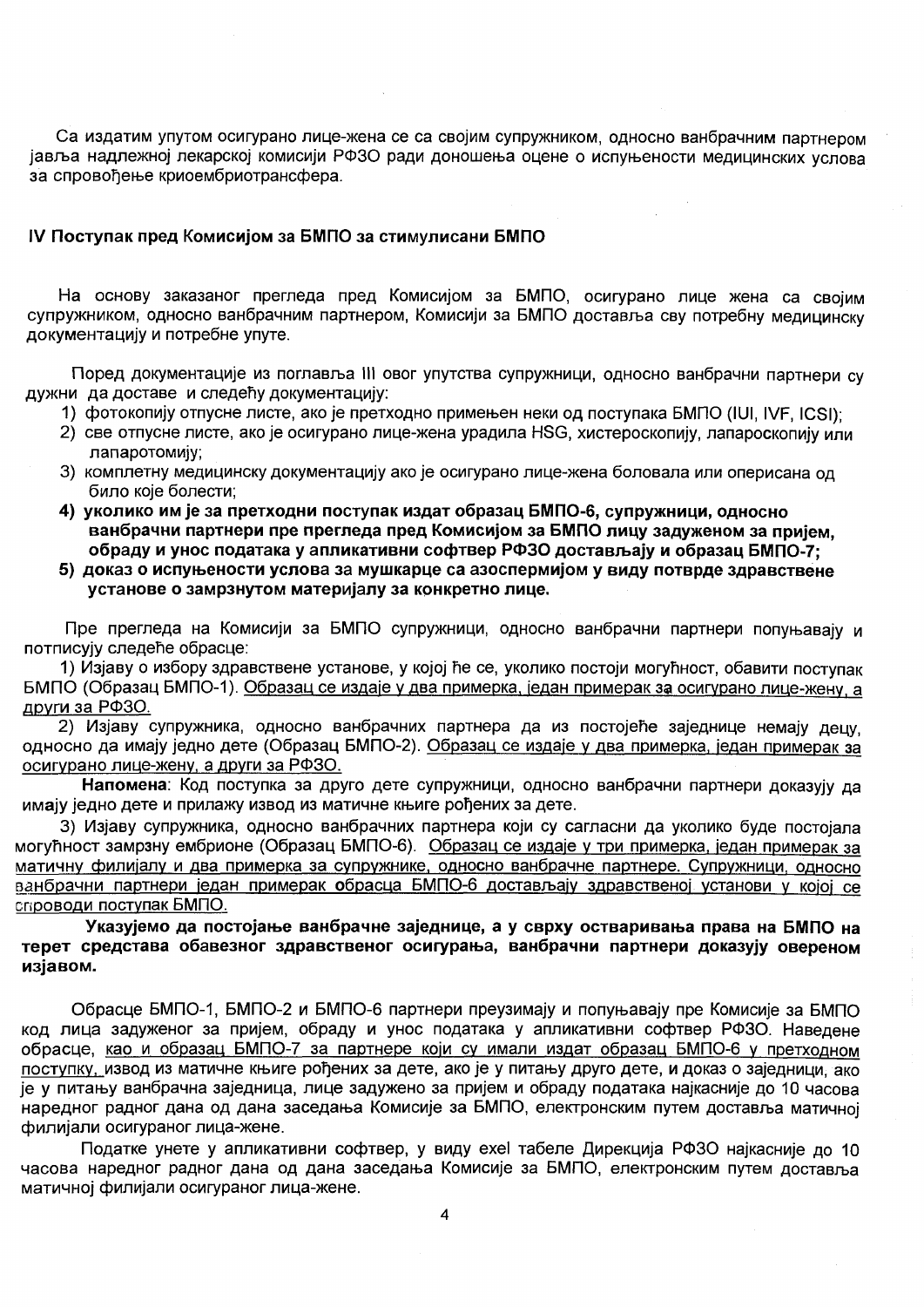Са издатим упутом осигурано лице-жена се са својим супружником, односно ванбрачним партнером јавља надлежној лекарској комисији РФЗО ради доношења оцене о испуњености медицинских услова за спровоћење криоембриотрансфера.

#### IV Поступак пред Комисијом за БМПО за стимулисани БМПО

На основу заказаног прегледа пред Комисијом за БМПО, осигурано лице жена са својим супружником, односно ванбрачним партнером, Комисији за БМПО доставља сву потребну медицинску документацију и потребне упуте.

Поред документације из поглавља III овог упутства супружници, односно ванбрачни партнери су дужни да доставе и следећу документацију:

- 1) фотокопију отпусне листе, ако је претходно примењен неки од поступака БМПО (IUI, IVF, ICSI);
- 2) све отпусне листе, ако је осигурано лице-жена урадила HSG, хистероскопију, лапароскопију или лапаротомију:
- 3) комплетну медицинску документацију ако је осигурано лице-жена боловала или оперисана од било које болести:
- 4) уколико им је за претходни поступак издат образац БМПО-6, супружници, односно ванбрачни партнери пре прегледа пред Комисијом за БМПО лицу задуженом за пријем. обраду и унос података у апликативни софтвер РФЗО достављају и образац БМПО-7;
- 5) доказ о испуњености услова за мушкарце са азоспермијом у виду потврде здравствене установе о замрзнутом материјалу за конкретно лице.

Пре прегледа на Комисији за БМПО супружници, односно ванбрачни партнери попуњавају и потписују следеће обрасце:

1) Изјаву о избору здравствене установе, у којој ће се, уколико постоји могућност, обавити поступак БМПО (Образац БМПО-1). Образац се издаје у два примерка, један примерак за осигурано лице-жену, а други за РФЗО.

2) Изјаву супружника, односно ванбрачних партнера да из постојеће заједнице немају децу. односно да имају једно дете (Образац БМПО-2). Образац се издаје у два примерка, један примерак за осигурано лице-жену, а други за РФЗО.

Напомена: Код поступка за друго дете супружници, односно ванбрачни партнери доказују да имају једно дете и прилажу извод из матичне књиге рођених за дете.

3) Изјаву супружника, односно ванбрачних партнера који су сагласни да уколико буде постојала могућност замрзну ембрионе (Образац БМПО-6). Образац се издаје у три примерка, један примерак за матичну филијалу и два примерка за супружнике, односно ванбрачне партнере. Супружници, односно ванбрачни партнери један примерак обрасца БМПО-6 достављају здравственој установи у којој се спроводи поступак **БМПО**.

Указујемо да постојање ванбрачне заједнице, а у сврху остваривања права на БМПО на терет средстава обавезног здравственог осигурања, ванбрачни партнери доказују овереном изјавом.

Обрасце БМПО-1, БМПО-2 и БМПО-6 партнери преузимају и попуњавају пре Комисије за БМПО код лица задуженог за пријем, обраду и унос података у апликативни софтвер РФЗО. Наведене обрасце, као и образац БМПО-7 за партнере који су имали издат образац БМПО-6 у претходном поступку, извод из матичне књиге рођених за дете, ако је у питању друго дете, и доказ о заједници, ако је у питању ванбрачна заједница, лице задужено за пријем и обраду података најкасније до 10 часова наредног радног дана од дана заседања Комисије за БМПО, електронским путем доставља матичној филијали осигураног лица-жене.

Податке унете у апликативни софтвер, у виду ехеl табеле Дирекција РФЗО најкасније до 10 часова наредног радног дана од дана заседања Комисије за БМПО, електронским путем доставља матичној филијали осигураног лица-жене.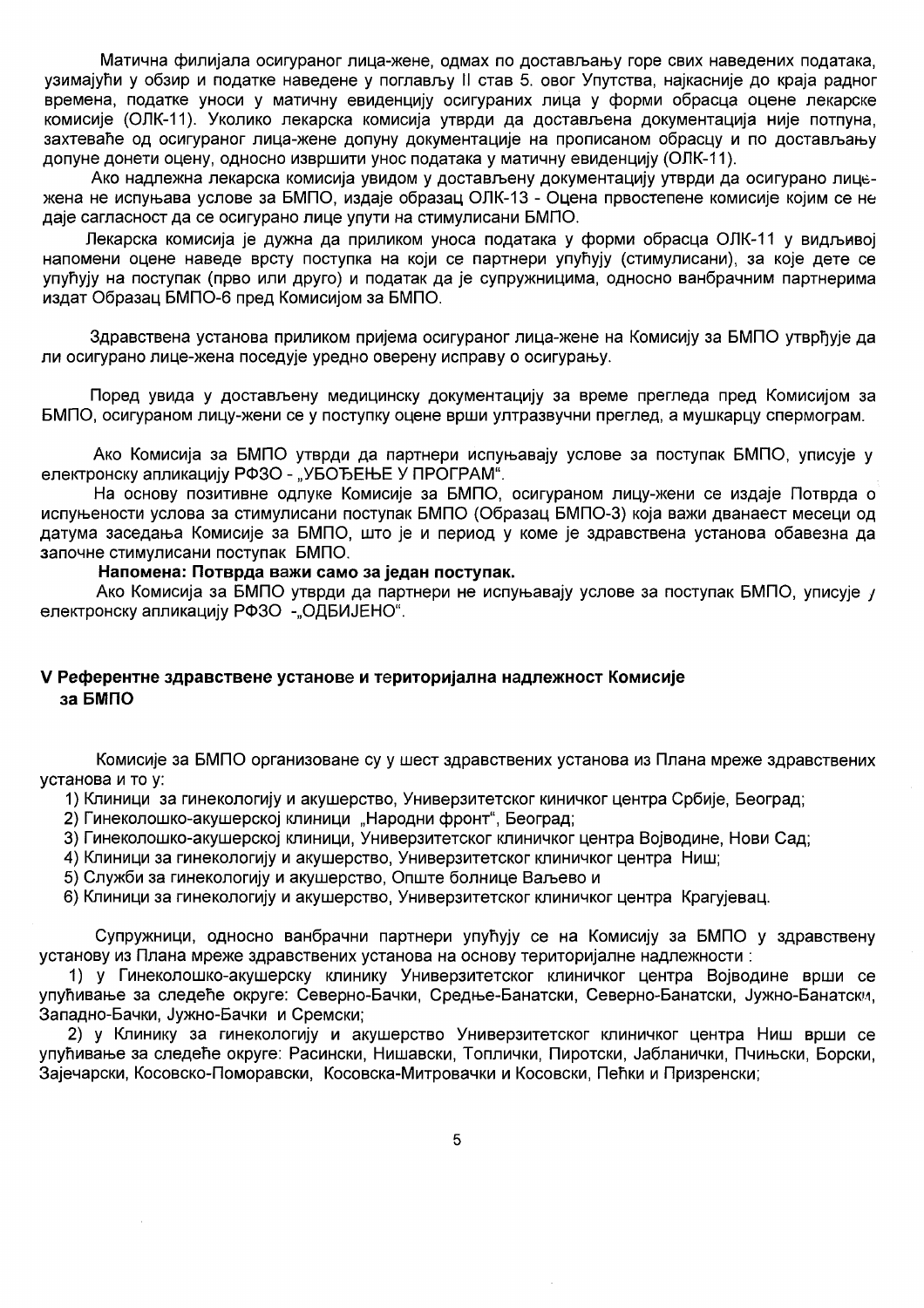Матична филијала осигураног лица-жене, одмах по достављању горе свих наведених података, узимајући у обзир и податке наведене у поглављу II став 5. овог Упутства, најкасније до краја радног времена, податке уноси у матичну евиденцију осигураних лица у форми обрасца оцене лекарске комисије (ОЛК-11). Уколико лекарска комисија утврди да достављена документација није потпуна, захтеваће од осигураног лица-жене допуну документације на прописаном обрасцу и по достављању допуне донети оцену, односно извршити унос података у матичну евиденцију (ОЛК-11).

Ако надлежна лекарска комисија увидом у достављену документацију утврди да осигурано лицежена не испуњава услове за БМПО, издаје образац ОЛК-13 - Оцена првостепене комисије којим се не даје сагласност да се осигурано лице упути на стимулисани БМПО.

Лекарска комисија је дужна да приликом уноса података у форми обрасца ОЛК-11 у видљивој напомени оцене наведе врсту поступка на који се партнери упућују (стимулисани), за које дете се упућују на поступак (прво или друго) и податак да је супружницима, односно ванбрачним партнерима издат Образац БМПО-6 пред Комисијом за БМПО.

Здравствена установа приликом пријема осигураног лица-жене на Комисију за БМПО утврђује да ли осигурано лице-жена поседује уредно оверену исправу о осигурању.

Поред увида у достављену медицинску документацију за време прегледа пред Комисијом за БМПО, осигураном лицу-жени се у поступку оцене врши ултразвучни преглед, а мушкарцу спермограм.

Ако Комисија за БМПО утврди да партнери испуњавају услове за поступак БМПО, уписује у електронску апликацију РФЗО - "УБОЂЕЊЕ У ПРОГРАМ".

На основу позитивне одлуке Комисије за БМПО, осигураном лицу-жени се издаје Потврда о испуњености услова за стимулисани поступак БМПО (Образац БМПО-3) која важи дванаест месеци од датума заседања Комисије за БМПО, што је и период у коме је здравствена установа обавезна да започне стимулисани поступак БМПО.

#### Напомена: Потврда важи само за један поступак.

Ако Комисија за БМПО утврди да партнери не испуњавају услове за поступак БМПО, уписује у електронску апликацију РФЗО - "ОДБИЈЕНО".

## V Референтне здравствене установе и територијална надлежност Комисије за БМПО

Комисије за БМПО организоване су у шест здравствених установа из Плана мреже здравствених **VCTAHOBA И ТО V:** 

1) Клиници за гинекологију и акушерство, Универзитетског киничког центра Србије, Београд;

- 2) Гинеколошко-акушерској клиници "Народни фронт", Београд;
- 3) Гинеколошко-акушерској клиници, Универзитетског клиничког центра Војводине, Нови Сад;
- 4) Клиници за гинекологију и акушерство, Универзитетског клиничког центра Ниш;
- 5) Служби за гинекологију и акушерство, Опште болнице Ваљево и

6) Клиници за гинекологију и акушерство, Универзитетског клиничког центра Крагујевац.

Супружници, односно ванбрачни партнери упућују се на Комисију за БМПО у здравствену установу из Плана мреже здравствених установа на основу територијалне надлежности :

1) у Гинеколошко-акушерску клинику Универзитетског клиничког центра Војводине врши се упућивање за следеће округе: Северно-Бачки, Средње-Банатски, Северно-Банатски, Јужно-Банатски, Западно-Бачки, Јужно-Бачки и Сремски;

2) у Клинику за гинекологију и акушерство Универзитетског клиничког центра Ниш врши се упућивање за следеће округе: Расински, Нишавски, Топлички, Пиротски, Јабланички, Пчињски, Борски, Зајечарски, Косовско-Поморавски, Косовска-Митровачки и Косовски, Пећки и Призренски;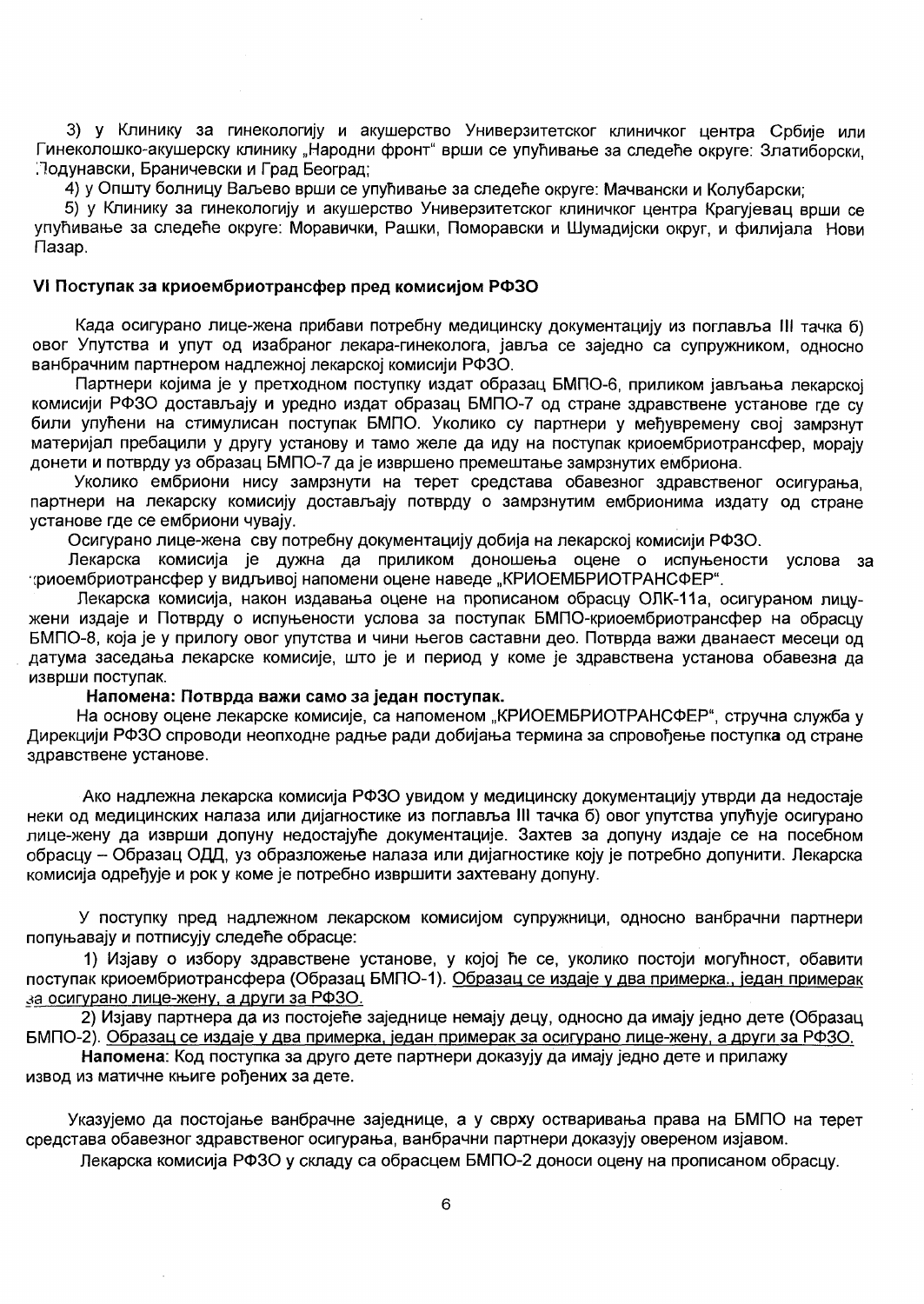3) у Клинику за гинекологију и акушерство Универзитетског клиничког центра Србије или Гинеколошко-акушерску клинику "Народни фронт" врши се упућивање за следеће округе: Златиборски. Подунавски, Браничевски и Град Београд:

4) у Општу болницу Ваљево врши се упућивање за следеће округе: Мачвански и Колубарски:

5) у Клинику за гинекологију и акушерство Универзитетског клиничког центра Крагујевац врши се упућивање за следеће округе: Моравички, Рашки, Поморавски и Шумадијски округ, и филијала Нови Пазар.

#### VI Поступак за криоембриотрансфер пред комисијом РФЗО

Када осигурано лице-жена прибави потребну медицинску документацију из поглавља III тачка б) овог Упутства и упут од изабраног лекара-гинеколога, јавља се заједно са супружником, односно ванбрачним партнером надлежној лекарској комисији РФЗО.

Партнери којима је у претходном поступку издат образац БМПО-6, приликом јављања лекарској комисији РФЗО достављају и уредно издат образац БМПО-7 од стране здравствене установе где су били упућени на стимулисан поступак БМПО. Уколико су партнери у међувремену свој замрзнут материјал пребацили у другу установу и тамо желе да иду на поступак криоембриотрансфер, морају донети и потврду уз образац БМПО-7 да је извршено премештање замрзнутих ембриона.

Уколико ембриони нису замрзнути на терет средстава обавезног здравственог осигурања. партнери на лекарску комисију достављају потврду о замрзнутим ембрионима издату од стране установе где се ембриони чувају.

Осигурано лице-жена сву потребну документацију добија на лекарској комисији РФЗО.

Лекарска комисија је дужна да приликом доношења оцене о испуњености услова за фиоембриотрансфер у видљивој напомени оцене наведе "КРИОЕМБРИОТРАНСФЕР".

Лекарска комисија, након издавања оцене на прописаном обрасцу ОЛК-11а, осигураном лицужени издаје и Потврду о испуњености услова за поступак БМПО-криоембриотрансфер на обрасцу БМПО-8, која је у прилогу овог упутства и чини његов саставни део. Потврда важи дванаест месеци од датума заседања лекарске комисије, што је и период у коме је здравствена установа обавезна да изврши поступак.

#### Напомена: Потврда важи само за један поступак.

На основу оцене лекарске комисије, са напоменом "КРИОЕМБРИОТРАНСФЕР", стручна служба у Дирекцији РФЗО спроводи неопходне радње ради добијања термина за спровођење поступка од стране здравствене установе.

Ако надлежна лекарска комисија РФЗО увидом у медицинску документацију утврди да недостаје неки од медицинских налаза или дијагностике из поглавља III тачка б) овог упутства упућује осигурано лице-жену да изврши допуну недостајуће документације. Захтев за допуну издаје се на посебном обрасцу - Образац ОДД, уз образложење налаза или дијагностике коју је потребно допунити. Лекарска комисија одређује и рок у коме је потребно извршити захтевану допуну.

У поступку пред надлежном лекарском комисијом супружници, односно ванбрачни партнери попуњавају и потписују следеће обрасце:

1) Изјаву о избору здравствене установе, у којој ће се, уколико постоји могућност, обавити поступак криоембриотрансфера (Образац БМПО-1). Образац се издаје у два примерка., један примерак за осигурано лице-жену, а други за РФЗО.

2) Изјаву партнера да из постојеће заједнице немају децу, односно да имају једно дете (Образац БМПО-2). Образац се издаје у два примерка, један примерак за осигурано лице-жену, а други за РФЗО.

Напомена: Код поступка за друго дете партнери доказују да имају једно дете и прилажу извод из матичне књиге рођених за дете.

Указујемо да постојање ванбрачне заједнице, а у сврху остваривања права на БМПО на терет средстава обавезног здравственог осигурања, ванбрачни партнери доказују овереном изјавом.

Лекарска комисија РФЗО у складу са обрасцем БМПО-2 доноси оцену на прописаном обрасцу.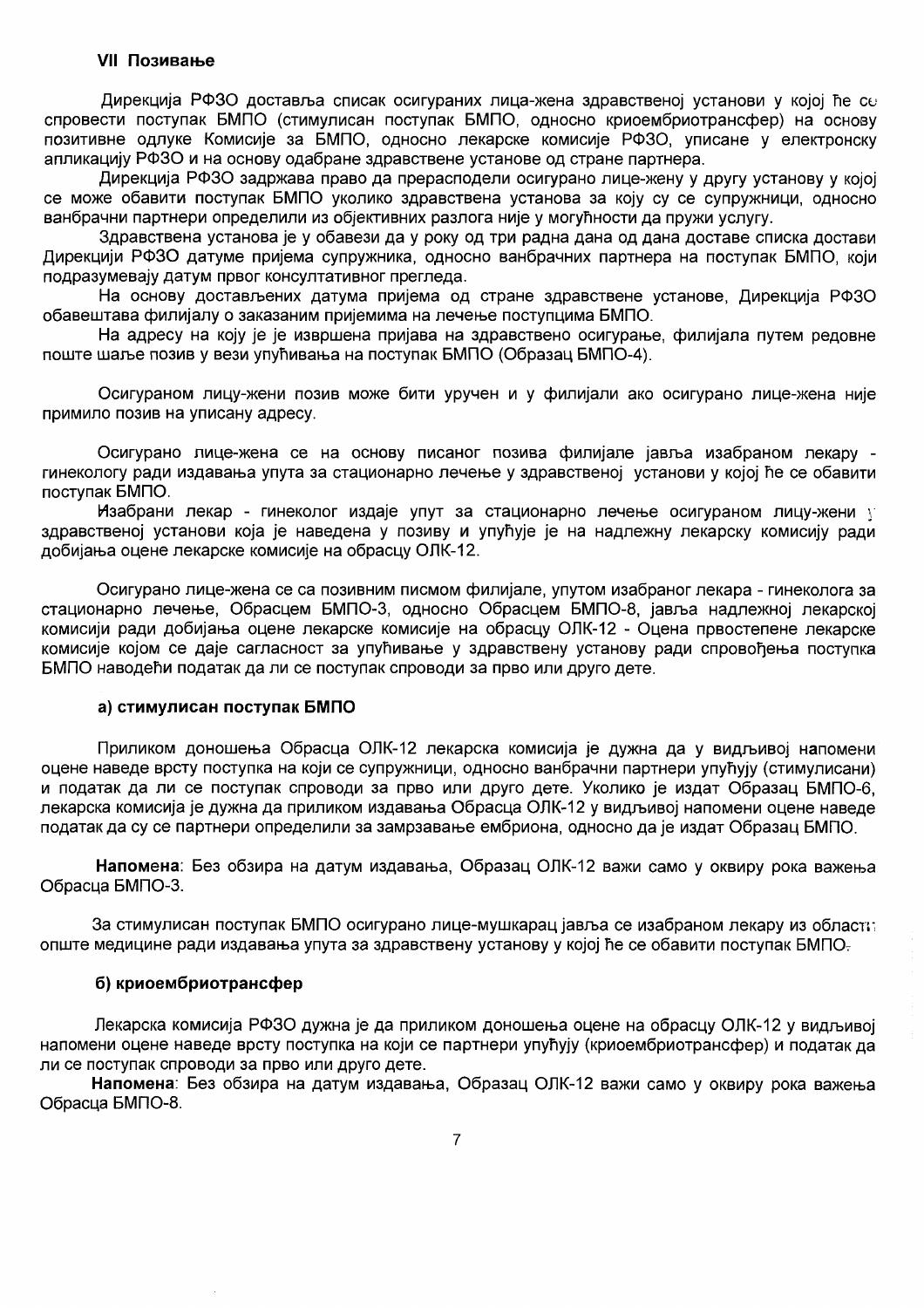## **VII Позивање**

Дирекција РФЗО доставља списак осигураних лица-жена здравственој установи у којој ће со спровести поступак БМПО (стимулисан поступак БМПО, односно криоембриотрансфер) на основу позитивне одлуке Комисије за БМПО, односно лекарске комисије РФЗО, уписане у електронску апликацију РФЗО и на основу одабране здравствене установе од стране партнера.

Дирекција РФЗО задржава право да прерасподели осигурано лице-жену у другу установу у којој се може обавити поступак БМПО уколико здравствена установа за коју су се супружници, односно ванбрачни партнери определили из обіективних разлога није у могућности да пружи услугу.

Здравствена установа је у обавези да у року од три радна дана од дана доставе списка достави Дирекцији РФЗО датуме пријема супружника, односно ванбрачних партнера на поступак БМПО, који подразумевају датум првог консултативног прегледа.

На основу достављених датума пријема од стране здравствене установе. Дирекција РФЗО обавештава филијалу о заказаним пријемима на лечење поступцима БМПО.

На адресу на коју је је извршена пријава на здравствено осигурање, филијала путем редовне поште шаље позив у вези упућивања на поступак БМПО (Образац БМПО-4).

Осигураном лицу-жени позив може бити уручен и у филијали ако осигурано лице-жена није примило позив на уписану адресу.

Осигурано лице-жена се на основу писаног позива филијале јавља изабраном лекару гинекологу ради издавања упута за стационарно лечење у здравственој установи у којој ће се обавити поступак БМПО.

Изабрани лекар - гинеколог издаје упут за стационарно лечење осигураном лицу-жени у здравственој установи која је наведена у позиву и упућује је на надлежну лекарску комисију ради добијања оцене лекарске комисије на обрасцу ОЛК-12.

Осигурано лице-жена се са позивним писмом филијале, упутом изабраног лекара - гинеколога за стационарно лечење, Обрасцем БМПО-3, односно Обрасцем БМПО-8, јавља надлежној лекарској комисији ради добијања оцене лекарске комисије на обрасцу ОЛК-12 - Оцена првостепене лекарске комисије којом се даје сагласност за упућивање у здравствену установу ради спровођења поступка БМПО наводећи податак да ли се поступак спроводи за прво или друго дете.

#### а) стимулисан поступак БМПО

Приликом доношења Обрасца ОЛК-12 лекарска комисија је дужна да у видљивој напомени оцене наведе врсту поступка на који се супружници, односно ванбрачни партнери упућују (стимулисани) и податак да ли се поступак спроводи за прво или друго дете. Уколико је издат Образац БМПО-6, лекарска комисија је дужна да приликом издавања Обрасца ОЛК-12 у видљивој напомени оцене наведе податак да су се партнери определили за замрзавање ембриона, односно да је издат Образац БМПО.

Напомена: Без обзира на датум издавања, Образац ОЛК-12 важи само у оквиру рока важења Обрасца БМПО-3.

За стимулисан поступак БМПО осигурано лице-мушкарац јавља се изабраном лекару из област∷ опште медицине ради издавања упута за здравствену установу у којој ће се обавити поступак БМПО-

#### б) криоембриотрансфер

Лекарска комисија РФЗО дужна је да приликом доношења оцене на обрасцу ОЛК-12 у видљивој напомени оцене наведе врсту поступка на који се партнери упућују (криоембриотрансфер) и податак да ли се поступак спроводи за прво или друго дете.

Напомена: Без обзира на датум издавања, Образац ОЛК-12 важи само у оквиру рока важења Обрасца БМПО-8.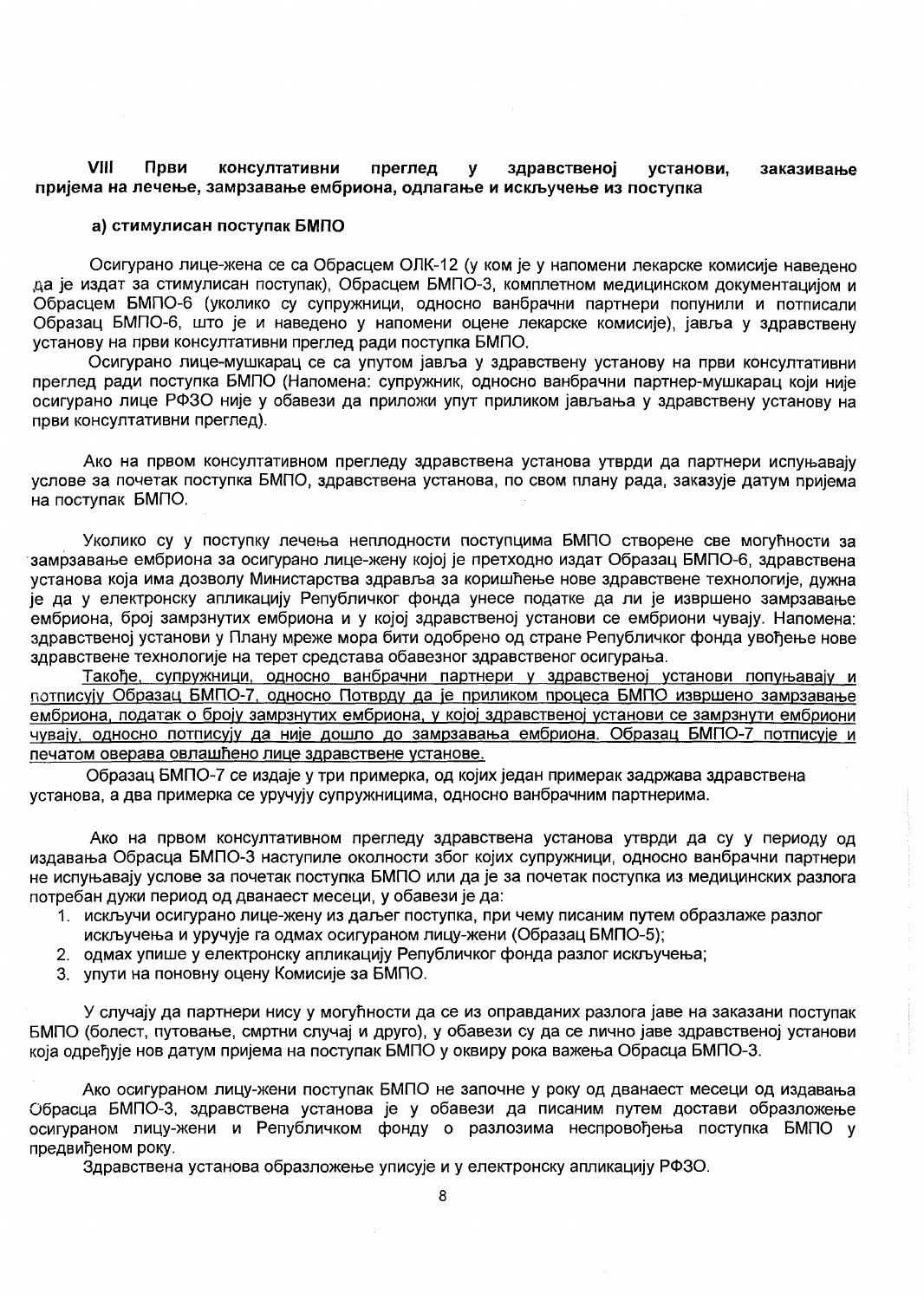#### VIII Први консултативни преглед установи,  $\mathbf{y}$ здравственој заказивање пријема на лечење, замрзавање ембриона, одлагање и искључење из поступка

#### а) стимулисан поступак БМПО

Осигурано лице-жена се са Обрасцем ОЛК-12 (у ком је у напомени лекарске комисије наведено да је издат за стимулисан поступак), Обрасцем БМПО-3, комплетном медицинском документацијом и Обрасцем БМПО-6 (уколико су супружници, односно ванбрачни партнери попунили и потписали Образац БМПО-6, што је и наведено у напомени оцене лекарске комисије), јавља у здравствену установу на први консултативни преглед ради поступка БМПО.

Осигурано лице-мушкарац се са упутом јавља у здравствену установу на први консултативни преглед ради поступка БМПО (Напомена: супружник, односно ванбрачни партнер-мушкарац који није осигурано лице РФЗО није у обавези да приложи упут приликом јављања у здравствену установу на први консултативни преглед).

Ако на првом консултативном прегледу здравствена установа утврди да партнери испуњавају услове за почетак поступка БМПО, здравствена установа, по свом плану рада, заказује датум пријема на поступак БМПО.

Уколико су у поступку лечења неплодности поступцима БМПО створене све могућности за замрзавање ембриона за осигурано лице-жену којој је претходно издат Образац БМПО-6, здравствена установа која има дозволу Министарства здравља за коришћење нове здравствене технологије, дужна је да у електронску апликацију Републичког фонда унесе податке да ли је извршено замрзавање ембриона, број замрзнутих ембриона и у којој здравственој установи се ембриони чувају. Напомена: здравственој установи у Плану мреже мора бити одобрено од стране Републичког фонда увођење нове здравствене технологије на терет средстава обавезног здравственог осигурања.

Такође, супружници, односно ванбрачни партнери у здравственој установи попуњавају и потписују Образац БМПО-7, односно Потврду да је приликом процеса БМПО извршено замрзавање ембриона, податак о броју замрзнутих ембриона, у којој здравственој установи се замрзнути ембриони чувају, односно потписују да није дошло до замрзавања ембриона. Образац БМПО-7 потписује и печатом оверава овлашћено лице здравствене установе.

Образац БМПО-7 се издаје у три примерка, од којих један примерак задржава здравствена установа, а два примерка се уручују супружницима, односно ванбрачним партнерима.

Ако на првом консултативном прегледу здравствена установа утврди да су у периоду од издавања Обрасца БМПО-3 наступиле околности због којих супружници, односно ванбрачни партнери не испуњавају услове за почетак поступка БМПО или да је за почетак поступка из медицинских разлога потребан дужи период од дванаест месеци, у обавези је да:

- 1. искључи осигурано лице-жену из даљег поступка, при чему писаним путем образлаже разлог искључења и уручује га одмах осигураном лицу-жени (Образац БМПО-5);
- 2. одмах упише у електронску апликацију Републичког фонда разлог искључења;
- 3. упути на поновну оцену Комисије за БМПО.

У случају да партнери нису у могућности да се из оправданих разлога јаве на заказани поступак БМПО (болест, путовање, смртни случај и друго), у обавези су да се лично јаве здравственој установи која одређује нов датум пријема на поступак БМПО у оквиру рока важења Обрасца БМПО-3.

Ако осигураном лицу-жени поступак БМПО не започне у року од дванаест месеци од издавања Обрасца БМПО-3, здравствена установа је у обавези да писаним путем достави образложење осигураном лицу-жени и Републичком фонду о разлозима неспровођења поступка БМПО у предвиђеном року.

Здравствена установа образложење уписује и у електронску апликацију РФЗО.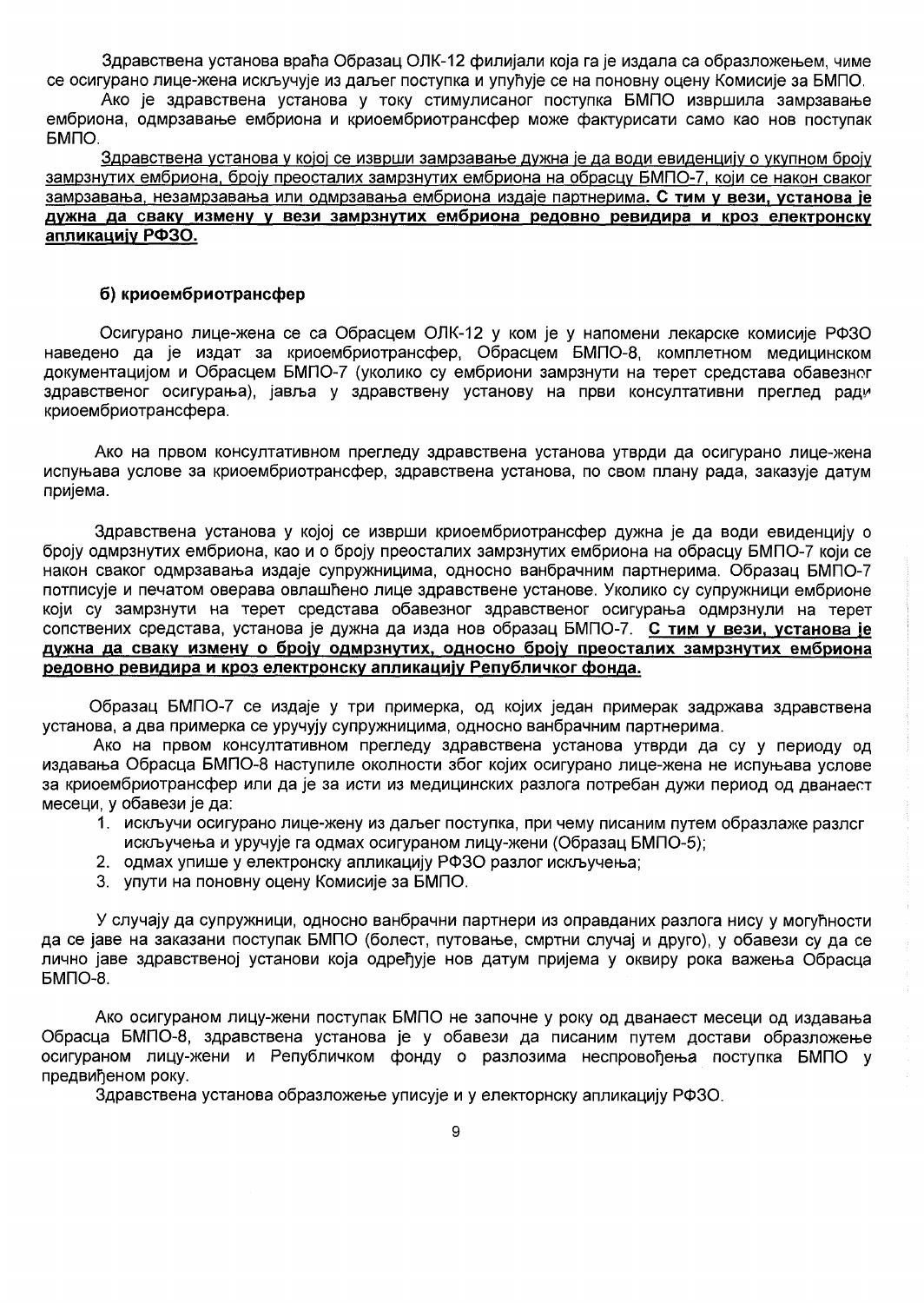Здравствена установа враћа Образац ОЛК-12 филијали која га је издала са образложењем, чиме се осигурано лице-жена искључује из даљег поступка и упућује се на поновну оцену Комисије за БМПО.

Ако је здравствена установа у току стимулисаног поступка БМПО извршила замрзавање ембриона, одмрзавање ембриона и криоембриотрансфер може фактурисати само као нов поступак **GMNO.** 

Здравствена установа у којој се изврши замрзавање дужна је да води евиденцију о укупном броју замрзнутих ембриона, броју преосталих замрзнутих ембриона на обрасцу БМПО-7, који се након сваког замрзавања, незамрзавања или одмрзавања ембриона издаје партнерима. С тим у вези, установа је дужна да сваку измену у вези замрзнутих ембриона редовно ревидира и кроз електронску апликацију РФЗО.

#### б) криоембриотрансфер

Осигурано лице-жена се са Обрасцем ОЛК-12 у ком је у напомени лекарске комисије РФЗО наведено да је издат за криоембриотрансфер. Обрасцем БМПО-8. комплетном медицинском документацијом и Обрасцем БМПО-7 (уколико су ембриони замрзнути на терет средстава обавезног здравственог осигурања), јавља у здравствену установу на први консултативни преглед ради криоембриотрансфера.

Ако на првом консултативном прегледу здравствена установа утврди да осигурано лице-жена испуњава услове за криоембриотрансфер, здравствена установа, по свом плану рада, заказује датум пријема.

Здравствена установа у којој се изврши криоембриотрансфер дужна је да води евиденцију о броју одмрзнутих ембриона, као и о броју преосталих замрзнутих ембриона на обрасцу БМПО-7 који се након сваког одмрзавања издаје супружницима, односно ванбрачним партнерима. Образац БМПО-7 потписује и печатом оверава овлашћено лице здравствене установе. Уколико су супружници ембрионе који су замрзнути на терет средстава обавезног здравственог осигурања одмрзнули на терет сопствених средстава, установа је дужна да изда нов образац БМПО-7. С тим у вези, установа је дужна да сваку измену о броју одмрзнутих, односно броју преосталих замрзнутих ембриона редовно ревидира и кроз електронску апликацију Републичког фонда.

Образац БМПО-7 се издаје у три примерка, од којих један примерак задржава здравствена установа, а два примерка се уручују супружницима, односно ванбрачним партнерима.

Ако на првом консултативном прегледу здравствена установа утврди да су у периоду од издавања Обрасца БМПО-8 наступиле околности због којих осигурано лице-жена не испуњава услове за криоембриотрансфер или да је за исти из медицинских разлога потребан дужи период од дванаест месеци, у обавези је да:

- 1. искључи осигурано лице-жену из даљег поступка, при чему писаним путем образлаже разлсг искључења и уручује га одмах осигураном лицу-жени (Образац БМПО-5):
- 2. одмах упише у електронску апликацију РФЗО разлог искључења;
- 3. упути на поновну оцену Комисије за БМПО.

У случају да супружници, односно ванбрачни партнери из оправданих разлога нису у могућности да се јаве на заказани поступак БМПО (болест, путовање, смртни случај и друго), у обавези су да се лично јаве здравственој установи која одређује нов датум пријема у оквиру рока важења Обрасца БМПО-8.

Ако осигураном лицу-жени поступак БМПО не започне у року од дванаест месеци од издавања Обрасца БМПО-8, здравствена установа је у обавези да писаним путем достави образложење осигураном лицу-жени и Републичком фонду о разлозима неспровођења поступка БМПО у предвиђеном року.

Здравствена установа образложење уписује и у електорнску апликацију РФЗО.